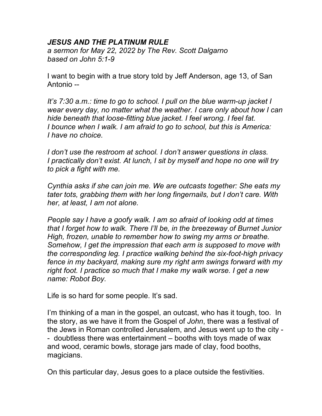## *JESUS AND THE PLATINUM RULE*

*a sermon for May 22, 2022 by The Rev. Scott Dalgarno based on John 5:1-9*

I want to begin with a true story told by Jeff Anderson, age 13, of San Antonio --

*It's 7:30 a.m.: time to go to school. I pull on the blue warm-up jacket I wear every day, no matter what the weather. I care only about how I can hide beneath that loose-fitting blue jacket. I feel wrong. I feel fat. I bounce when I walk. I am afraid to go to school, but this is America: I have no choice.* 

*I don't use the restroom at school. I don't answer questions in class. I practically don't exist. At lunch, I sit by myself and hope no one will try to pick a fight with me.*

*Cynthia asks if she can join me. We are outcasts together: She eats my tater tots, grabbing them with her long fingernails, but I don't care. With her, at least, I am not alone.* 

*People say I have a goofy walk. I am so afraid of looking odd at times that I forget how to walk. There I'll be, in the breezeway of Burnet Junior High, frozen, unable to remember how to swing my arms or breathe. Somehow, I get the impression that each arm is supposed to move with the corresponding leg. I practice walking behind the six-foot-high privacy fence in my backyard, making sure my right arm swings forward with my right foot. I practice so much that I make my walk worse. I get a new name: Robot Boy.* 

Life is so hard for some people. It's sad.

I'm thinking of a man in the gospel, an outcast, who has it tough, too. In the story, as we have it from the Gospel of *John*, there was a festival of the Jews in Roman controlled Jerusalem, and Jesus went up to the city - - doubtless there was entertainment – booths with toys made of wax and wood, ceramic bowls, storage jars made of clay, food booths, magicians.

On this particular day, Jesus goes to a place outside the festivities.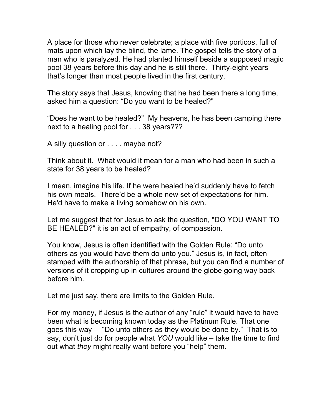A place for those who never celebrate; a place with five porticos, full of mats upon which lay the blind, the lame. The gospel tells the story of a man who is paralyzed. He had planted himself beside a supposed magic pool 38 years before this day and he is still there. Thirty-eight years – that's longer than most people lived in the first century.

 The story says that Jesus, knowing that he had been there a long time, asked him a question: "Do you want to be healed?"

"Does he want to be healed?" My heavens, he has been camping there next to a healing pool for . . . 38 years???

A silly question or . . . . maybe not?

Think about it. What would it mean for a man who had been in such a state for 38 years to be healed?

I mean, imagine his life. If he were healed he'd suddenly have to fetch his own meals. There'd be a whole new set of expectations for him. He'd have to make a living somehow on his own.

Let me suggest that for Jesus to ask the question, "DO YOU WANT TO BE HEALED?" it is an act of empathy, of compassion.

You know, Jesus is often identified with the Golden Rule: "Do unto others as you would have them do unto you." Jesus is, in fact, often stamped with the authorship of that phrase, but you can find a number of versions of it cropping up in cultures around the globe going way back before him.

Let me just say, there are limits to the Golden Rule.

For my money, if Jesus is the author of any "rule" it would have to have been what is becoming known today as the Platinum Rule. That one goes this way – "Do unto others as they would be done by." That is to say, don't just do for people what *YOU* would like – take the time to find out what *they* might really want before you "help" them.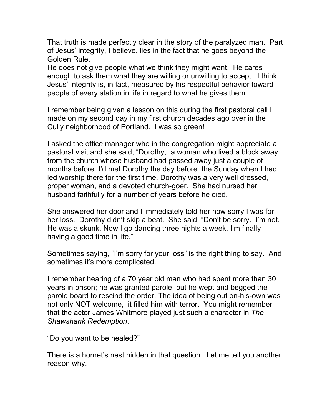That truth is made perfectly clear in the story of the paralyzed man. Part of Jesus' integrity, I believe, lies in the fact that he goes beyond the Golden Rule.

He does not give people what we think they might want. He cares enough to ask them what they are willing or unwilling to accept. I think Jesus' integrity is, in fact, measured by his respectful behavior toward people of every station in life in regard to what he gives them.

I remember being given a lesson on this during the first pastoral call I made on my second day in my first church decades ago over in the Cully neighborhood of Portland. I was so green!

I asked the office manager who in the congregation might appreciate a pastoral visit and she said, "Dorothy," a woman who lived a block away from the church whose husband had passed away just a couple of months before. I'd met Dorothy the day before: the Sunday when I had led worship there for the first time. Dorothy was a very well dressed, proper woman, and a devoted church-goer. She had nursed her husband faithfully for a number of years before he died.

She answered her door and I immediately told her how sorry I was for her loss. Dorothy didn't skip a beat. She said, "Don't be sorry. I'm not. He was a skunk. Now I go dancing three nights a week. I'm finally having a good time in life."

Sometimes saying, "I'm sorry for your loss" is the right thing to say. And sometimes it's more complicated.

I remember hearing of a 70 year old man who had spent more than 30 years in prison; he was granted parole, but he wept and begged the parole board to rescind the order. The idea of being out on-his-own was not only NOT welcome, it filled him with terror. You might remember that the actor James Whitmore played just such a character in *The* 

*Shawshank Redemption*. "Do you want to be healed?"

There is a hornet's nest hidden in that question. Let me tell you another reason why.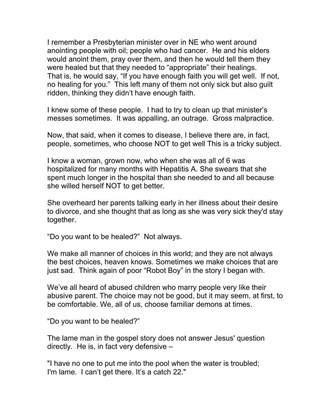I remember a Presbyterian minister over in NE who went around anointing people with oil; people who had cancer. He and his elders would anoint them, pray over them, and then he would tell them they were healed but that they needed to "appropriate" their healings. That is, he would say, "If you have enough faith you will get well. If not, no healing for you." This left many of them not only sick but also guilt ridden, thinking they didn't have enough faith.

I knew some of these people. I had to try to clean up that minister's messes sometimes. It was appalling, an outrage. Gross malpractice.

Now, that said, when it comes to disease, I believe there are, in fact, people, sometimes, who choose NOT to get well This is a tricky subject.

I know a woman, grown now, who when she was all of 6 was hospitalized for many months with Hepatitis A. She swears that she spent much longer in the hospital than she needed to and all because she willed herself NOT to get better.

She overheard her parents talking early in her illness about their desire to divorce, and she thought that as long as she was very sick they'd stay together.

"Do you want to be healed?" Not always.

We make all manner of choices in this world; and they are not always the best choices, heaven knows. Sometimes we make choices that are just sad. Think again of poor "Robot Boy" in the story I began with.

We've all heard of abused children who marry people very like their abusive parent. The choice may not be good, but it may seem, at first, to be comfortable. We, all of us, choose familiar demons at times.

"Do you want to be healed?"

The lame man in the gospel story does not answer Jesus' question directly. He is, in fact very defensive –

"I have no one to put me into the pool when the water is troubled; I'm lame. I can't get there. It's a catch 22."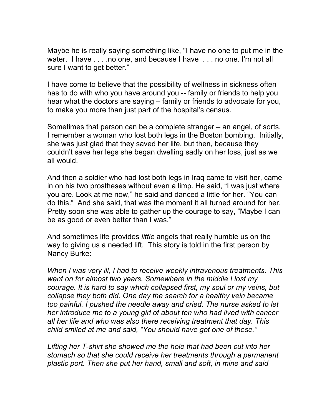Maybe he is really saying something like, "I have no one to put me in the water. I have . . . .no one, and because I have . . . no one. I'm not all sure I want to get better."

I have come to believe that the possibility of wellness in sickness often has to do with who you have around you -- family or friends to help you hear what the doctors are saying – family or friends to advocate for you, to make you more than just part of the hospital's census.

Sometimes that person can be a complete stranger – an angel, of sorts. I remember a woman who lost both legs in the Boston bombing. Initially, she was just glad that they saved her life, but then, because they couldn't save her legs she began dwelling sadly on her loss, just as we all would.

And then a soldier who had lost both legs in Iraq came to visit her, came in on his two prostheses without even a limp. He said, "I was just where you are. Look at me now," he said and danced a little for her. "You can do this." And she said, that was the moment it all turned around for her. Pretty soon she was able to gather up the courage to say, "Maybe I can be as good or even better than I was."

And sometimes life provides *little* angels that really humble us on the way to giving us a needed lift. This story is told in the first person by Nancy Burke:

*When I was very ill, I had to receive weekly intravenous treatments. This went on for almost two years. Somewhere in the middle I lost my courage. It is hard to say which collapsed first, my soul or my veins, but collapse they both did. One day the search for a healthy vein became too painful. I pushed the needle away and cried. The nurse asked to let her introduce me to a young girl of about ten who had lived with cancer all her life and who was also there receiving treatment that day. This child smiled at me and said, "You should have got one of these."*

*Lifting her T-shirt she showed me the hole that had been cut into her stomach so that she could receive her treatments through a permanent plastic port. Then she put her hand, small and soft, in mine and said*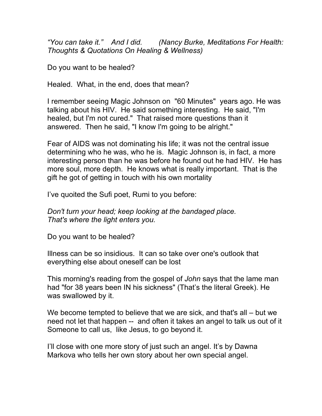*"You can take it." And I did. (Nancy Burke, Meditations For Health: Thoughts & Quotations On Healing & Wellness)*

Do you want to be healed?

Healed. What, in the end, does that mean?

I remember seeing Magic Johnson on "60 Minutes" years ago. He was talking about his HIV. He said something interesting. He said, "I'm healed, but I'm not cured." That raised more questions than it answered. Then he said, "I know I'm going to be alright."

Fear of AIDS was not dominating his life; it was not the central issue determining who he was, who he is. Magic Johnson is, in fact, a more interesting person than he was before he found out he had HIV. He has more soul, more depth. He knows what is really important. That is the gift he got of getting in touch with his own mortality

I've quoited the Sufi poet, Rumi to you before:

*Don't turn your head; keep looking at the bandaged place. That's where the light enters you.*

Do you want to be healed?

Illness can be so insidious. It can so take over one's outlook that everything else about oneself can be lost

This morning's reading from the gospel of *John* says that the lame man had "for 38 years been IN his sickness" (That's the literal Greek). He was swallowed by it.

We become tempted to believe that we are sick, and that's all – but we need not let that happen -- and often it takes an angel to talk us out of it Someone to call us, like Jesus, to go beyond it.

I'll close with one more story of just such an angel. It's by Dawna Markova who tells her own story about her own special angel.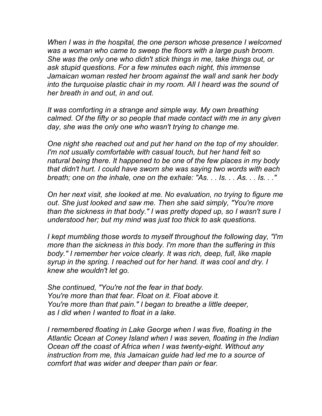*When I was in the hospital, the one person whose presence I welcomed was a woman who came to sweep the floors with a large push broom. She was the only one who didn't stick things in me, take things out, or ask stupid questions. For a few minutes each night, this immense Jamaican woman rested her broom against the wall and sank her body into the turquoise plastic chair in my room. All I heard was the sound of her breath in and out, in and out.*

*It was comforting in a strange and simple way. My own breathing calmed. Of the fifty or so people that made contact with me in any given day, she was the only one who wasn't trying to change me.*

*One night she reached out and put her hand on the top of my shoulder. I'm not usually comfortable with casual touch, but her hand felt so natural being there. It happened to be one of the few places in my body that didn't hurt. I could have sworn she was saying two words with each breath; one on the inhale, one on the exhale: "As. . . Is. . . As. . . Is. . ."*

*On her next visit, she looked at me. No evaluation, no trying to figure me out. She just looked and saw me. Then she said simply, "You're more than the sickness in that body." I was pretty doped up, so I wasn't sure I understood her; but my mind was just too thick to ask questions.*

*I kept mumbling those words to myself throughout the following day, "I'm more than the sickness in this body. I'm more than the suffering in this body." I remember her voice clearly. It was rich, deep, full, like maple syrup in the spring. I reached out for her hand. It was cool and dry. I knew she wouldn't let go.* 

*She continued, "You're not the fear in that body. You're more than that fear. Float on it. Float above it. You're more than that pain." I began to breathe a little deeper, as I did when I wanted to float in a lake.* 

*I remembered floating in Lake George when I was five, floating in the Atlantic Ocean at Coney Island when I was seven, floating in the Indian Ocean off the coast of Africa when I was twenty-eight. Without any instruction from me, this Jamaican guide had led me to a source of comfort that was wider and deeper than pain or fear.*